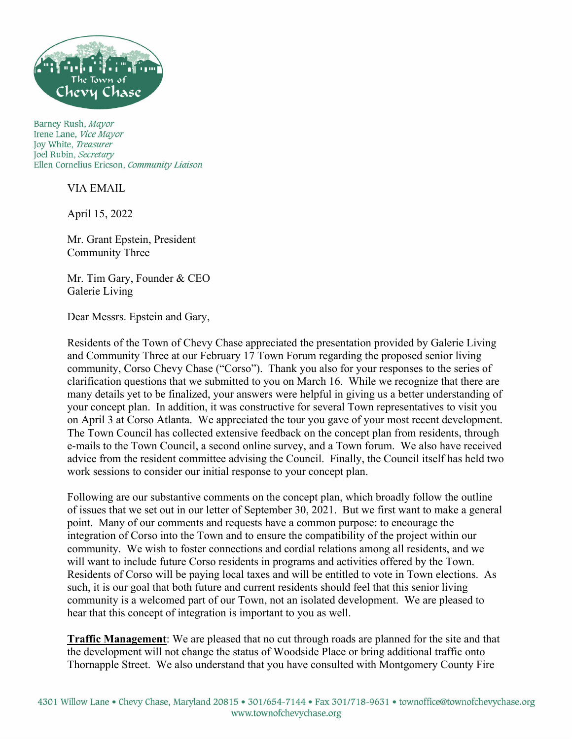

Barney Rush, Mayor Irene Lane, Vice Mayor Joy White, Treasurer Joel Rubin, Secretary Ellen Cornelius Ericson, Community Liaison

VIA EMAIL

April 15, 2022

Mr. Grant Epstein, President Community Three

Mr. Tim Gary, Founder & CEO Galerie Living

Dear Messrs. Epstein and Gary,

Residents of the Town of Chevy Chase appreciated the presentation provided by Galerie Living and Community Three at our February 17 Town Forum regarding the proposed senior living community, Corso Chevy Chase ("Corso"). Thank you also for your responses to the series of clarification questions that we submitted to you on March 16. While we recognize that there are many details yet to be finalized, your answers were helpful in giving us a better understanding of your concept plan. In addition, it was constructive for several Town representatives to visit you on April 3 at Corso Atlanta. We appreciated the tour you gave of your most recent development. The Town Council has collected extensive feedback on the concept plan from residents, through e-mails to the Town Council, a second online survey, and a Town forum. We also have received advice from the resident committee advising the Council. Finally, the Council itself has held two work sessions to consider our initial response to your concept plan.

Following are our substantive comments on the concept plan, which broadly follow the outline of issues that we set out in our letter of September 30, 2021. But we first want to make a general point. Many of our comments and requests have a common purpose: to encourage the integration of Corso into the Town and to ensure the compatibility of the project within our community. We wish to foster connections and cordial relations among all residents, and we will want to include future Corso residents in programs and activities offered by the Town. Residents of Corso will be paying local taxes and will be entitled to vote in Town elections. As such, it is our goal that both future and current residents should feel that this senior living community is a welcomed part of our Town, not an isolated development. We are pleased to hear that this concept of integration is important to you as well.

**Traffic Management**: We are pleased that no cut through roads are planned for the site and that the development will not change the status of Woodside Place or bring additional traffic onto Thornapple Street. We also understand that you have consulted with Montgomery County Fire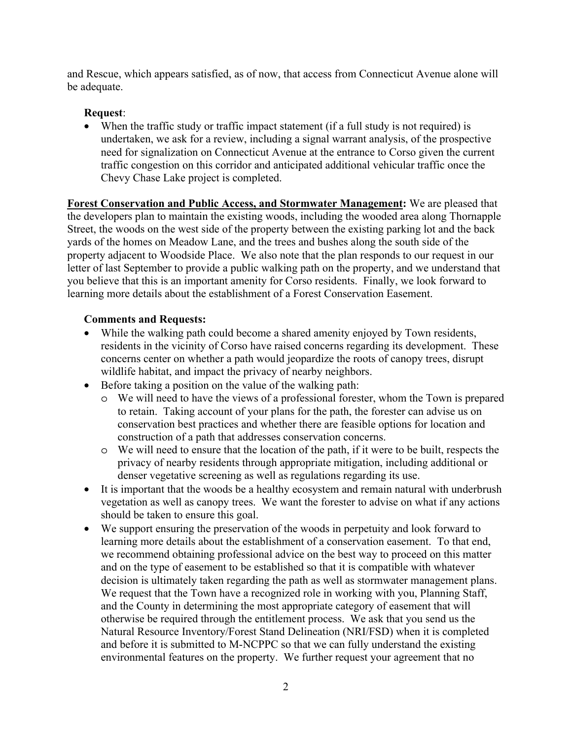and Rescue, which appears satisfied, as of now, that access from Connecticut Avenue alone will be adequate.

# **Request**:

• When the traffic study or traffic impact statement (if a full study is not required) is undertaken, we ask for a review, including a signal warrant analysis, of the prospective need for signalization on Connecticut Avenue at the entrance to Corso given the current traffic congestion on this corridor and anticipated additional vehicular traffic once the Chevy Chase Lake project is completed.

**Forest Conservation and Public Access, and Stormwater Management:** We are pleased that the developers plan to maintain the existing woods, including the wooded area along Thornapple Street, the woods on the west side of the property between the existing parking lot and the back yards of the homes on Meadow Lane, and the trees and bushes along the south side of the property adjacent to Woodside Place. We also note that the plan responds to our request in our letter of last September to provide a public walking path on the property, and we understand that you believe that this is an important amenity for Corso residents. Finally, we look forward to learning more details about the establishment of a Forest Conservation Easement.

# **Comments and Requests:**

- While the walking path could become a shared amenity enjoyed by Town residents, residents in the vicinity of Corso have raised concerns regarding its development. These concerns center on whether a path would jeopardize the roots of canopy trees, disrupt wildlife habitat, and impact the privacy of nearby neighbors.
- Before taking a position on the value of the walking path:
	- o We will need to have the views of a professional forester, whom the Town is prepared to retain. Taking account of your plans for the path, the forester can advise us on conservation best practices and whether there are feasible options for location and construction of a path that addresses conservation concerns.
	- o We will need to ensure that the location of the path, if it were to be built, respects the privacy of nearby residents through appropriate mitigation, including additional or denser vegetative screening as well as regulations regarding its use.
- It is important that the woods be a healthy ecosystem and remain natural with underbrush vegetation as well as canopy trees. We want the forester to advise on what if any actions should be taken to ensure this goal.
- We support ensuring the preservation of the woods in perpetuity and look forward to learning more details about the establishment of a conservation easement. To that end, we recommend obtaining professional advice on the best way to proceed on this matter and on the type of easement to be established so that it is compatible with whatever decision is ultimately taken regarding the path as well as stormwater management plans. We request that the Town have a recognized role in working with you, Planning Staff, and the County in determining the most appropriate category of easement that will otherwise be required through the entitlement process. We ask that you send us the Natural Resource Inventory/Forest Stand Delineation (NRI/FSD) when it is completed and before it is submitted to M-NCPPC so that we can fully understand the existing environmental features on the property. We further request your agreement that no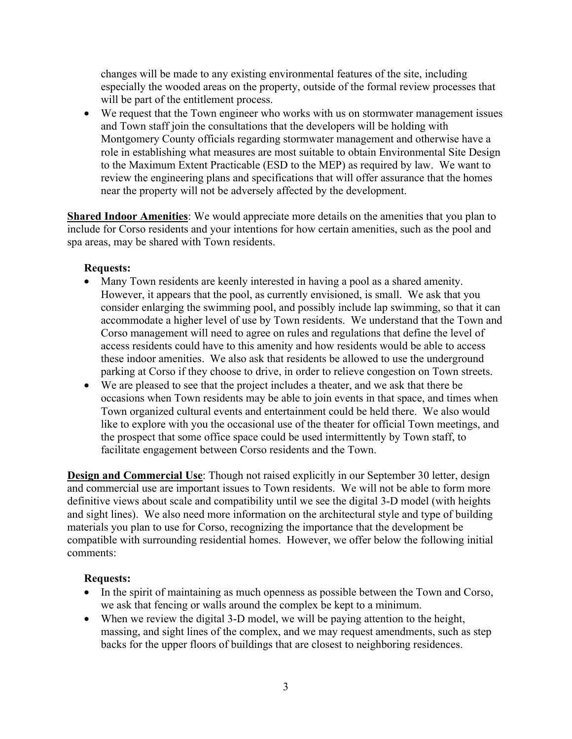changes will be made to any existing environmental features of the site, including especially the wooded areas on the property, outside of the formal review processes that will be part of the entitlement process.

• We request that the Town engineer who works with us on stormwater management issues and Town staff join the consultations that the developers will be holding with Montgomery County officials regarding stormwater management and otherwise have a role in establishing what measures are most suitable to obtain Environmental Site Design to the Maximum Extent Practicable (ESD to the MEP) as required by law. We want to review the engineering plans and specifications that will offer assurance that the homes near the property will not be adversely affected by the development.

**Shared Indoor Amenities**: We would appreciate more details on the amenities that you plan to include for Corso residents and your intentions for how certain amenities, such as the pool and spa areas, may be shared with Town residents.

### **Requests:**

- Many Town residents are keenly interested in having a pool as a shared amenity. However, it appears that the pool, as currently envisioned, is small. We ask that you consider enlarging the swimming pool, and possibly include lap swimming, so that it can accommodate a higher level of use by Town residents. We understand that the Town and Corso management will need to agree on rules and regulations that define the level of access residents could have to this amenity and how residents would be able to access these indoor amenities. We also ask that residents be allowed to use the underground parking at Corso if they choose to drive, in order to relieve congestion on Town streets.
- We are pleased to see that the project includes a theater, and we ask that there be occasions when Town residents may be able to join events in that space, and times when Town organized cultural events and entertainment could be held there. We also would like to explore with you the occasional use of the theater for official Town meetings, and the prospect that some office space could be used intermittently by Town staff, to facilitate engagement between Corso residents and the Town.

**Design and Commercial Use:** Though not raised explicitly in our September 30 letter, design and commercial use are important issues to Town residents. We will not be able to form more definitive views about scale and compatibility until we see the digital 3-D model (with heights and sight lines). We also need more information on the architectural style and type of building materials you plan to use for Corso, recognizing the importance that the development be compatible with surrounding residential homes. However, we offer below the following initial comments:

#### **Requests:**

- In the spirit of maintaining as much openness as possible between the Town and Corso, we ask that fencing or walls around the complex be kept to a minimum.
- When we review the digital 3-D model, we will be paying attention to the height, massing, and sight lines of the complex, and we may request amendments, such as step backs for the upper floors of buildings that are closest to neighboring residences.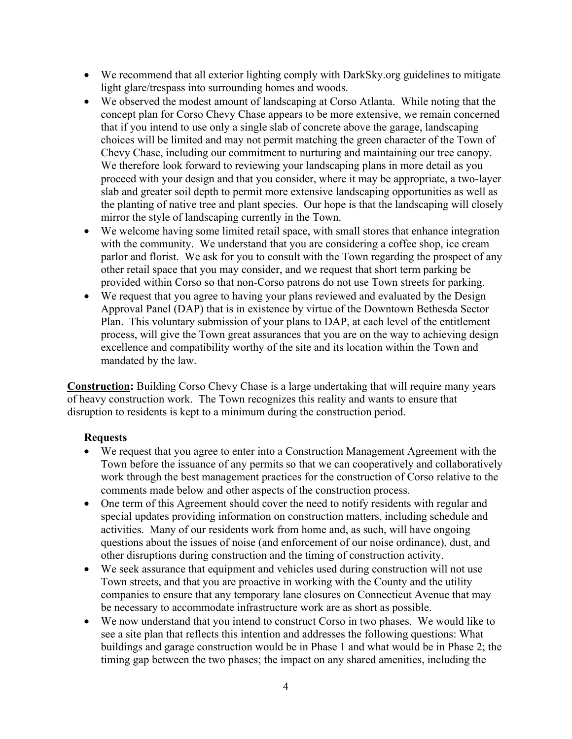- We recommend that all exterior lighting comply with DarkSky.org guidelines to mitigate light glare/trespass into surrounding homes and woods.
- We observed the modest amount of landscaping at Corso Atlanta. While noting that the concept plan for Corso Chevy Chase appears to be more extensive, we remain concerned that if you intend to use only a single slab of concrete above the garage, landscaping choices will be limited and may not permit matching the green character of the Town of Chevy Chase, including our commitment to nurturing and maintaining our tree canopy. We therefore look forward to reviewing your landscaping plans in more detail as you proceed with your design and that you consider, where it may be appropriate, a two-layer slab and greater soil depth to permit more extensive landscaping opportunities as well as the planting of native tree and plant species. Our hope is that the landscaping will closely mirror the style of landscaping currently in the Town.
- We welcome having some limited retail space, with small stores that enhance integration with the community. We understand that you are considering a coffee shop, ice cream parlor and florist. We ask for you to consult with the Town regarding the prospect of any other retail space that you may consider, and we request that short term parking be provided within Corso so that non-Corso patrons do not use Town streets for parking.
- We request that you agree to having your plans reviewed and evaluated by the Design Approval Panel (DAP) that is in existence by virtue of the Downtown Bethesda Sector Plan. This voluntary submission of your plans to DAP, at each level of the entitlement process, will give the Town great assurances that you are on the way to achieving design excellence and compatibility worthy of the site and its location within the Town and mandated by the law.

**Construction:** Building Corso Chevy Chase is a large undertaking that will require many years of heavy construction work. The Town recognizes this reality and wants to ensure that disruption to residents is kept to a minimum during the construction period.

# **Requests**

- We request that you agree to enter into a Construction Management Agreement with the Town before the issuance of any permits so that we can cooperatively and collaboratively work through the best management practices for the construction of Corso relative to the comments made below and other aspects of the construction process.
- One term of this Agreement should cover the need to notify residents with regular and special updates providing information on construction matters, including schedule and activities. Many of our residents work from home and, as such, will have ongoing questions about the issues of noise (and enforcement of our noise ordinance), dust, and other disruptions during construction and the timing of construction activity.
- We seek assurance that equipment and vehicles used during construction will not use Town streets, and that you are proactive in working with the County and the utility companies to ensure that any temporary lane closures on Connecticut Avenue that may be necessary to accommodate infrastructure work are as short as possible.
- We now understand that you intend to construct Corso in two phases. We would like to see a site plan that reflects this intention and addresses the following questions: What buildings and garage construction would be in Phase 1 and what would be in Phase 2; the timing gap between the two phases; the impact on any shared amenities, including the